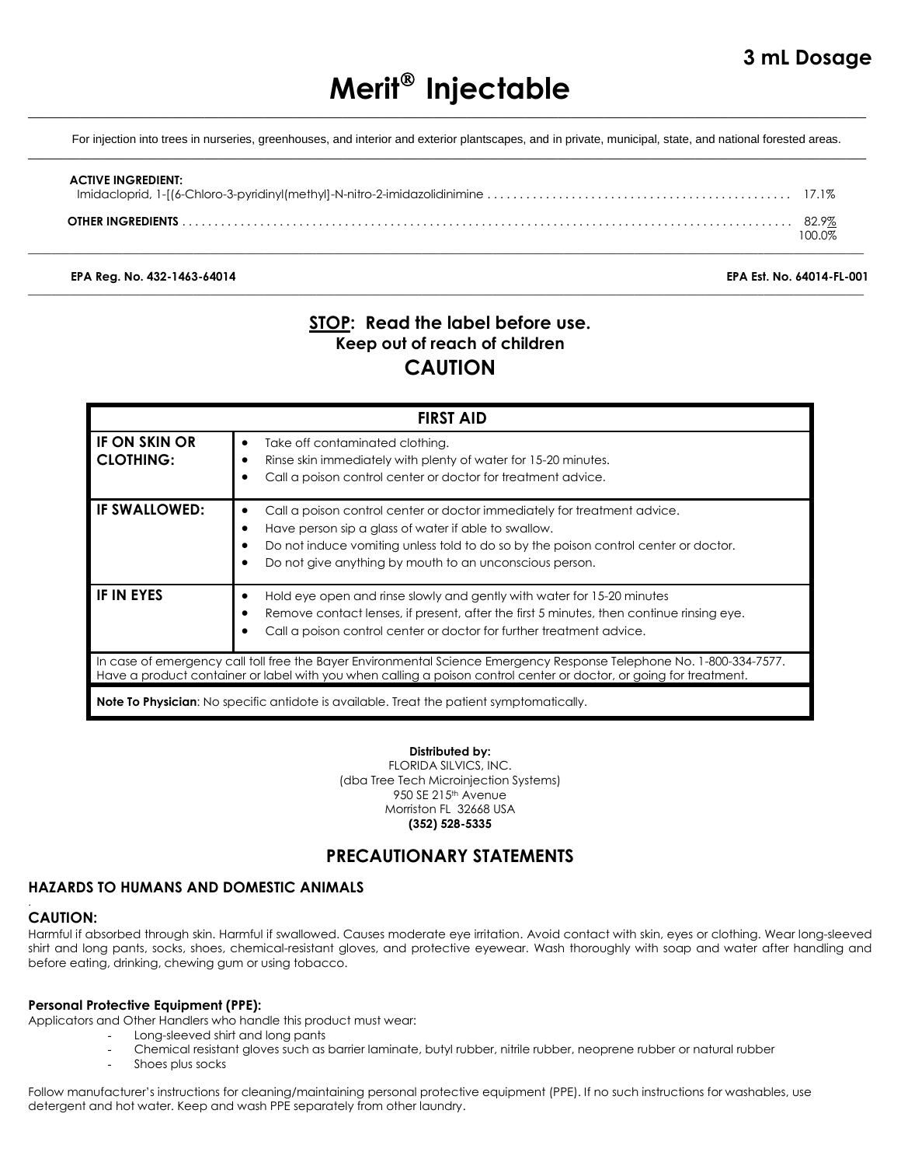# **Merit Injectable**  $\_$  ,  $\_$  ,  $\_$  ,  $\_$  ,  $\_$  ,  $\_$  ,  $\_$  ,  $\_$  ,  $\_$  ,  $\_$  ,  $\_$  ,  $\_$  ,  $\_$  ,  $\_$  ,  $\_$  ,  $\_$  ,  $\_$  ,  $\_$  ,  $\_$  ,  $\_$  ,  $\_$  ,  $\_$  ,  $\_$  ,  $\_$  ,  $\_$  ,  $\_$  ,  $\_$  ,  $\_$  ,  $\_$  ,  $\_$  ,  $\_$  ,  $\_$  ,  $\_$  ,  $\_$  ,  $\_$  ,  $\_$  ,  $\_$  ,

For injection into trees in nurseries, greenhouses, and interior and exterior plantscapes, and in private, municipal, state, and national forested areas.  $\_$  ,  $\_$  ,  $\_$  ,  $\_$  ,  $\_$  ,  $\_$  ,  $\_$  ,  $\_$  ,  $\_$  ,  $\_$  ,  $\_$  ,  $\_$  ,  $\_$  ,  $\_$  ,  $\_$  ,  $\_$  ,  $\_$  ,  $\_$  ,  $\_$  ,  $\_$  ,  $\_$  ,  $\_$  ,  $\_$  ,  $\_$  ,  $\_$  ,  $\_$  ,  $\_$  ,  $\_$  ,  $\_$  ,  $\_$  ,  $\_$  ,  $\_$  ,  $\_$  ,  $\_$  ,  $\_$  ,  $\_$  ,  $\_$  ,

| <b>ACTIVE INGREDIENT:</b> |        |
|---------------------------|--------|
| <b>OTHER INGREDIENTS</b>  | 100 0% |

\_\_\_\_\_\_\_\_\_\_\_\_\_\_\_\_\_\_\_\_\_\_\_\_\_\_\_\_\_\_\_\_\_\_\_\_\_\_\_\_\_\_\_\_\_\_\_\_\_\_\_\_\_\_\_\_\_\_\_\_\_\_\_\_\_\_\_\_\_\_\_\_\_\_\_\_\_\_\_\_\_\_\_\_\_\_\_\_\_\_\_\_\_\_\_\_\_\_\_\_\_\_\_\_\_\_\_\_\_\_\_\_\_\_\_\_\_\_\_\_\_\_\_\_\_\_\_\_\_\_\_\_\_\_\_\_\_\_\_\_\_\_

\_\_\_\_\_\_\_\_\_\_\_\_\_\_\_\_\_\_\_\_\_\_\_\_\_\_\_\_\_\_\_\_\_\_\_\_\_\_\_\_\_\_\_\_\_\_\_\_\_\_\_\_\_\_\_\_\_\_\_\_\_\_\_\_\_\_\_\_\_\_\_\_\_\_\_\_\_\_\_\_\_\_\_\_\_\_\_\_\_\_\_\_\_\_\_\_\_\_\_\_\_\_\_\_\_\_\_\_\_\_\_\_\_\_\_\_\_\_\_\_\_\_\_\_\_\_\_\_\_\_\_\_\_\_\_\_\_\_\_\_\_\_

**EPA Reg. No. 432-1463-64014 EPA Est. No. 64014-FL-001**

# **STOP: Read the label before use. Keep out of reach of children CAUTION**

| <b>FIRST AID</b>                                                                                                                                                                                                                           |                                                                                                                                                                                                                                                                                                           |  |
|--------------------------------------------------------------------------------------------------------------------------------------------------------------------------------------------------------------------------------------------|-----------------------------------------------------------------------------------------------------------------------------------------------------------------------------------------------------------------------------------------------------------------------------------------------------------|--|
| <b>IF ON SKIN OR</b><br><b>CLOTHING:</b>                                                                                                                                                                                                   | Take off contaminated clothing.<br>٠<br>Rinse skin immediately with plenty of water for 15-20 minutes.<br>Call a poison control center or doctor for treatment advice.<br>٠                                                                                                                               |  |
| <b>IF SWALLOWED:</b>                                                                                                                                                                                                                       | Call a poison control center or doctor immediately for treatment advice.<br>٠<br>Have person sip a glass of water if able to swallow.<br>٠<br>Do not induce vomiting unless told to do so by the poison control center or doctor.<br>Do not give anything by mouth to an unconscious person.<br>$\bullet$ |  |
| <b>IF IN EYES</b>                                                                                                                                                                                                                          | Hold eye open and rinse slowly and gently with water for 15-20 minutes<br>٠<br>Remove contact lenses, if present, after the first 5 minutes, then continue rinsing eye.<br>$\bullet$<br>Call a poison control center or doctor for further treatment advice.                                              |  |
| In case of emergency call toll free the Bayer Environmental Science Emergency Response Telephone No. 1-800-334-7577.<br>Have a product container or label with you when calling a poison control center or doctor, or going for treatment. |                                                                                                                                                                                                                                                                                                           |  |
| <b>Note To Physician:</b> No specific antidote is available. Treat the patient symptomatically.                                                                                                                                            |                                                                                                                                                                                                                                                                                                           |  |

### **Distributed by:**

FLORIDA SILVICS, INC. (dba Tree Tech Microinjection Systems) 950 SE 215<sup>th</sup> Avenue Morriston FL 32668 USA **(352) 528-5335**

# **PRECAUTIONARY STATEMENTS**

## **HAZARDS TO HUMANS AND DOMESTIC ANIMALS**

### **CAUTION:**

.

Harmful if absorbed through skin. Harmful if swallowed. Causes moderate eye irritation. Avoid contact with skin, eyes or clothing. Wear long-sleeved shirt and long pants, socks, shoes, chemical-resistant gloves, and protective eyewear. Wash thoroughly with soap and water after handling and before eating, drinking, chewing gum or using tobacco.

### **Personal Protective Equipment (PPE):**

Applicators and Other Handlers who handle this product must wear:

- Long-sleeved shirt and long pants
- Chemical resistant gloves such as barrier laminate, butyl rubber, nitrile rubber, neoprene rubber or natural rubber
- Shoes plus socks

Follow manufacturer's instructions for cleaning/maintaining personal protective equipment (PPE). If no such instructions for washables, use detergent and hot water. Keep and wash PPE separately from other laundry.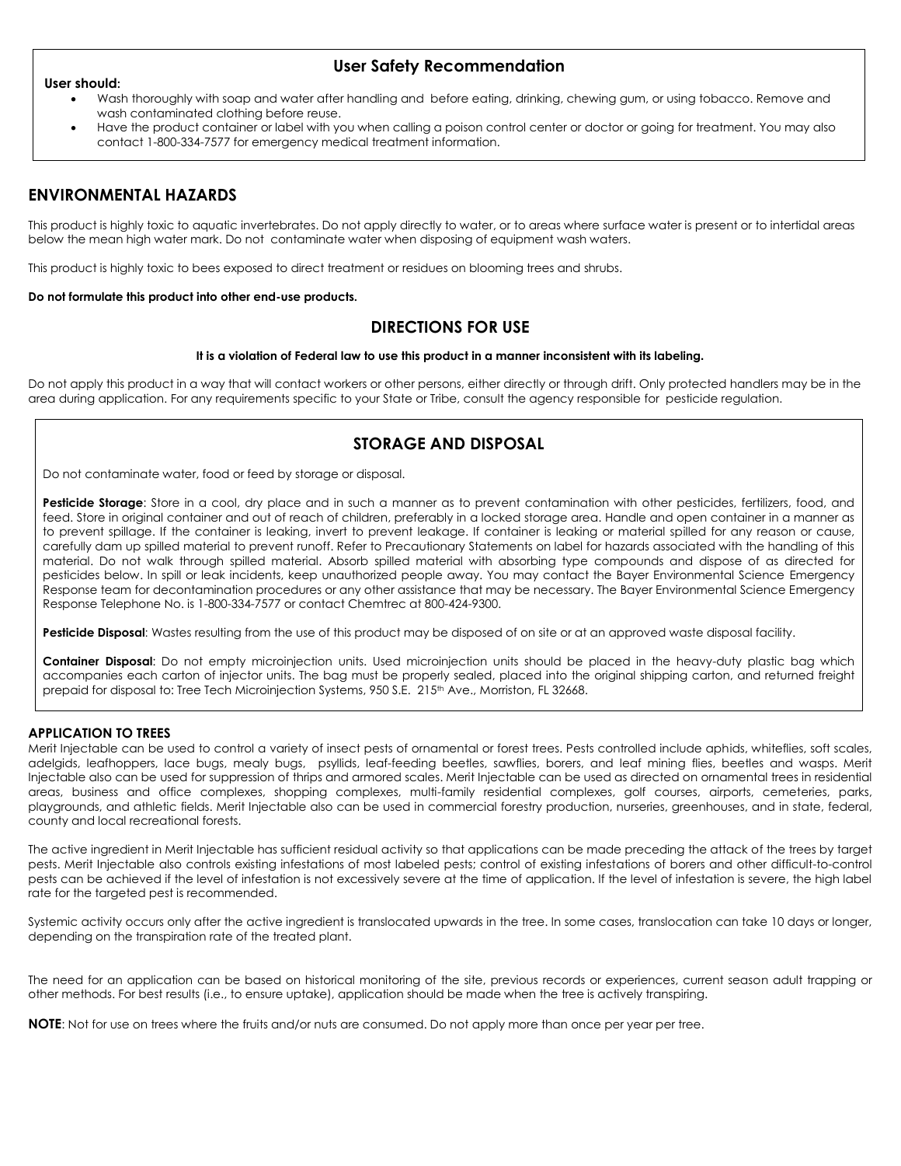#### **User should:**

### **User Safety Recommendation**

- Wash thoroughly with soap and water after handling and before eating, drinking, chewing gum, or using tobacco. Remove and wash contaminated clothing before reuse.
- Have the product container or label with you when calling a poison control center or doctor or going for treatment. You may also contact 1-800-334-7577 for emergency medical treatment information.

# **ENVIRONMENTAL HAZARDS**

This product is highly toxic to aquatic invertebrates. Do not apply directly to water, or to areas where surface water is present or to intertidal areas below the mean high water mark. Do not contaminate water when disposing of equipment wash waters.

This product is highly toxic to bees exposed to direct treatment or residues on blooming trees and shrubs.

#### **Do not formulate this product into other end-use products.**

### **DIRECTIONS FOR USE**

#### **It is a violation of Federal law to use this product in a manner inconsistent with its labeling.**

Do not apply this product in a way that will contact workers or other persons, either directly or through drift. Only protected handlers may be in the area during application. For any requirements specific to your State or Tribe, consult the agency responsible for pesticide regulation.

## **STORAGE AND DISPOSAL**

Do not contaminate water, food or feed by storage or disposal.

**Pesticide Storage**: Store in a cool, dry place and in such a manner as to prevent contamination with other pesticides, fertilizers, food, and feed. Store in original container and out of reach of children, preferably in a locked storage area. Handle and open container in a manner as to prevent spillage. If the container is leaking, invert to prevent leakage. If container is leaking or material spilled for any reason or cause, carefully dam up spilled material to prevent runoff. Refer to Precautionary Statements on label for hazards associated with the handling of this material. Do not walk through spilled material. Absorb spilled material with absorbing type compounds and dispose of as directed for pesticides below. In spill or leak incidents, keep unauthorized people away. You may contact the Bayer Environmental Science Emergency Response team for decontamination procedures or any other assistance that may be necessary. The Bayer Environmental Science Emergency Response Telephone No. is 1-800-334-7577 or contact Chemtrec at 800-424-9300.

**Pesticide Disposal**: Wastes resulting from the use of this product may be disposed of on site or at an approved waste disposal facility.

**Container Disposal**: Do not empty microinjection units. Used microinjection units should be placed in the heavy-duty plastic bag which accompanies each carton of injector units. The bag must be properly sealed, placed into the original shipping carton, and returned freight prepaid for disposal to: Tree Tech Microinjection Systems, 950 S.E. 215<sup>th</sup> Ave., Morriston, FL 32668.

#### **APPLICATION TO TREES**

Merit Injectable can be used to control a variety of insect pests of ornamental or forest trees. Pests controlled include aphids, whiteflies, soft scales, adelgids, leafhoppers, lace bugs, mealy bugs, psyllids, leaf-feeding beetles, sawflies, borers, and leaf mining flies, beetles and wasps. Merit Injectable also can be used for suppression of thrips and armored scales. Merit Injectable can be used as directed on ornamental trees in residential areas, business and office complexes, shopping complexes, multi-family residential complexes, golf courses, airports, cemeteries, parks, playgrounds, and athletic fields. Merit Injectable also can be used in commercial forestry production, nurseries, greenhouses, and in state, federal, county and local recreational forests.

The active ingredient in Merit Injectable has sufficient residual activity so that applications can be made preceding the attack of the trees by target pests. Merit Injectable also controls existing infestations of most labeled pests; control of existing infestations of borers and other difficult-to-control pests can be achieved if the level of infestation is not excessively severe at the time of application. If the level of infestation is severe, the high label rate for the targeted pest is recommended.

Systemic activity occurs only after the active ingredient is translocated upwards in the tree. In some cases, translocation can take 10 days or longer, depending on the transpiration rate of the treated plant.

The need for an application can be based on historical monitoring of the site, previous records or experiences, current season adult trapping or other methods. For best results (i.e., to ensure uptake), application should be made when the tree is actively transpiring.

**NOTE**: Not for use on trees where the fruits and/or nuts are consumed. Do not apply more than once per year per tree.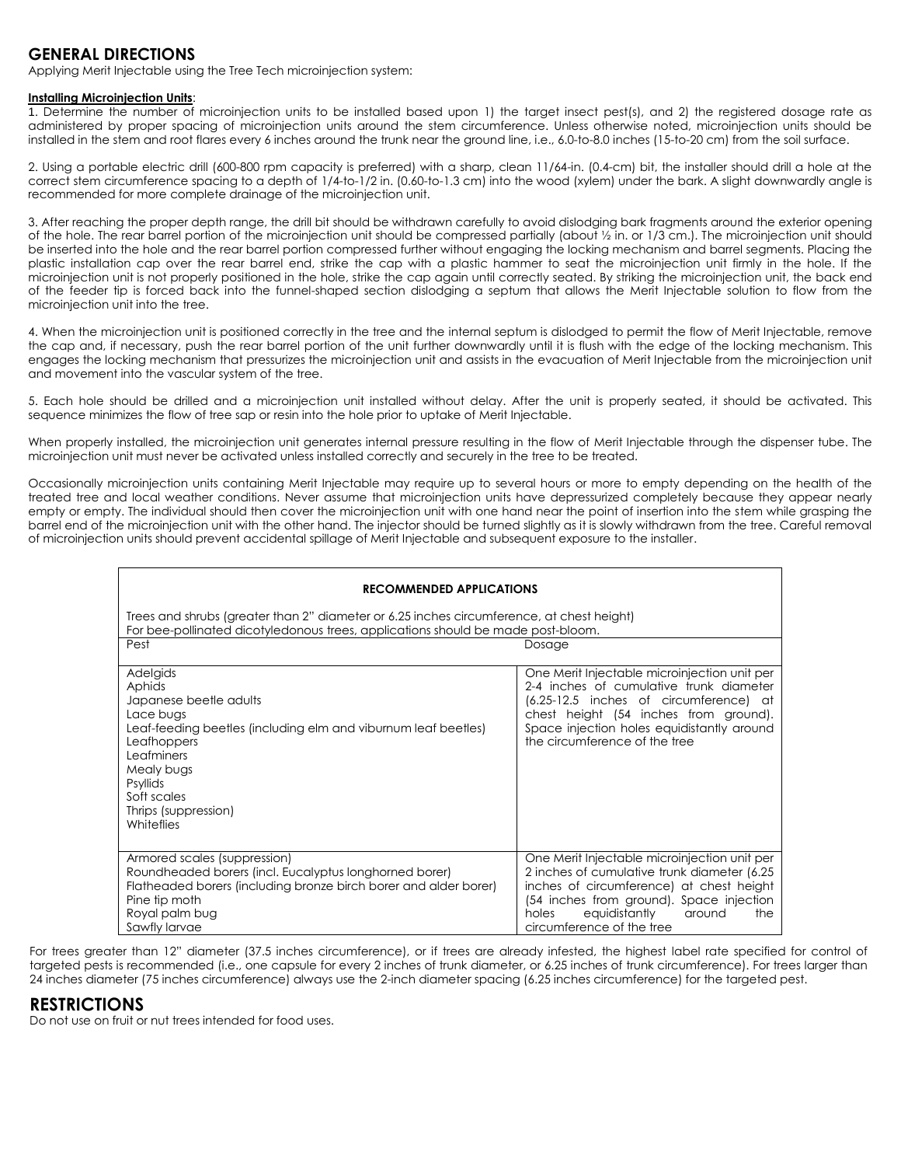## **GENERAL DIRECTIONS**

Applying Merit Injectable using the Tree Tech microinjection system:

#### **Installing Microinjection Units**:

1. Determine the number of microinjection units to be installed based upon 1) the target insect pest(s), and 2) the registered dosage rate as administered by proper spacing of microinjection units around the stem circumference. Unless otherwise noted, microinjection units should be installed in the stem and root flares every 6 inches around the trunk near the ground line, i.e., 6.0-to-8.0 inches (15-to-20 cm) from the soil surface.

2. Using a portable electric drill (600-800 rpm capacity is preferred) with a sharp, clean 11/64-in. (0.4-cm) bit, the installer should drill a hole at the correct stem circumference spacing to a depth of 1/4-to-1/2 in. (0.60-to-1.3 cm) into the wood (xylem) under the bark. A slight downwardly angle is recommended for more complete drainage of the microinjection unit.

3. After reaching the proper depth range, the drill bit should be withdrawn carefully to avoid dislodging bark fragments around the exterior opening of the hole. The rear barrel portion of the microinjection unit should be compressed partially (about ½ in. or 1/3 cm.). The microinjection unit should be inserted into the hole and the rear barrel portion compressed further without engaging the locking mechanism and barrel segments. Placing the plastic installation cap over the rear barrel end, strike the cap with a plastic hammer to seat the microinjection unit firmly in the hole. If the microinjection unit is not properly positioned in the hole, strike the cap again until correctly seated. By striking the microinjection unit, the back end of the feeder tip is forced back into the funnel-shaped section dislodging a septum that allows the Merit Injectable solution to flow from the microinjection unit into the tree.

4. When the microinjection unit is positioned correctly in the tree and the internal septum is dislodged to permit the flow of Merit Injectable, remove the cap and, if necessary, push the rear barrel portion of the unit further downwardly until it is flush with the edge of the locking mechanism. This engages the locking mechanism that pressurizes the microinjection unit and assists in the evacuation of Merit Injectable from the microinjection unit and movement into the vascular system of the tree.

5. Each hole should be drilled and a microinjection unit installed without delay. After the unit is properly seated, it should be activated. This sequence minimizes the flow of tree sap or resin into the hole prior to uptake of Merit Injectable.

When properly installed, the microinjection unit generates internal pressure resulting in the flow of Merit Injectable through the dispenser tube. The microinjection unit must never be activated unless installed correctly and securely in the tree to be treated.

Occasionally microinjection units containing Merit Injectable may require up to several hours or more to empty depending on the health of the treated tree and local weather conditions. Never assume that microinjection units have depressurized completely because they appear nearly empty or empty. The individual should then cover the microinjection unit with one hand near the point of insertion into the stem while grasping the barrel end of the microinjection unit with the other hand. The injector should be turned slightly as it is slowly withdrawn from the tree. Careful removal of microinjection units should prevent accidental spillage of Merit Injectable and subsequent exposure to the installer.

| <b>RECOMMENDED APPLICATIONS</b>                                                                                                                                                                                                                |                                                                                                                                                                                                                                                              |  |  |
|------------------------------------------------------------------------------------------------------------------------------------------------------------------------------------------------------------------------------------------------|--------------------------------------------------------------------------------------------------------------------------------------------------------------------------------------------------------------------------------------------------------------|--|--|
| Trees and shrubs (greater than 2" diameter or 6.25 inches circumference, at chest height)<br>For bee-pollinated dicotyledonous trees, applications should be made post-bloom.<br>Pest<br>Dosage                                                |                                                                                                                                                                                                                                                              |  |  |
| Adelgids<br>Aphids<br>Japanese beetle adults<br>Lace bugs<br>Leaf-feeding beetles (including elm and viburnum leaf beetles)<br>Leafhoppers<br>Leafminers<br>Mealy bugs<br><b>Psyllids</b><br>Soft scales<br>Thrips (suppression)<br>Whiteflies | One Merit Injectable microinjection unit per<br>2-4 inches of cumulative trunk diameter<br>(6.25-12.5 inches of circumference) at<br>chest height (54 inches from ground).<br>Space injection holes equidistantly around<br>the circumference of the tree    |  |  |
| Armored scales (suppression)<br>Roundheaded borers (incl. Eucalyptus longhorned borer)<br>Flatheaded borers (including bronze birch borer and alder borer)<br>Pine tip moth<br>Royal palm bug<br>Sawfly larvae                                 | One Merit Injectable microinjection unit per<br>2 inches of cumulative trunk diameter (6.25)<br>inches of circumference) at chest height<br>(54 inches from ground). Space injection<br>equidistantly<br>holes<br>around<br>the<br>circumference of the tree |  |  |

For trees greater than 12" diameter (37.5 inches circumference), or if trees are already infested, the highest label rate specified for control of targeted pests is recommended (i.e., one capsule for every 2 inches of trunk diameter, or 6.25 inches of trunk circumference). For trees larger than 24 inches diameter (75 inches circumference) always use the 2-inch diameter spacing (6.25 inches circumference) for the targeted pest.

## **RESTRICTIONS**

Do not use on fruit or nut trees intended for food uses.